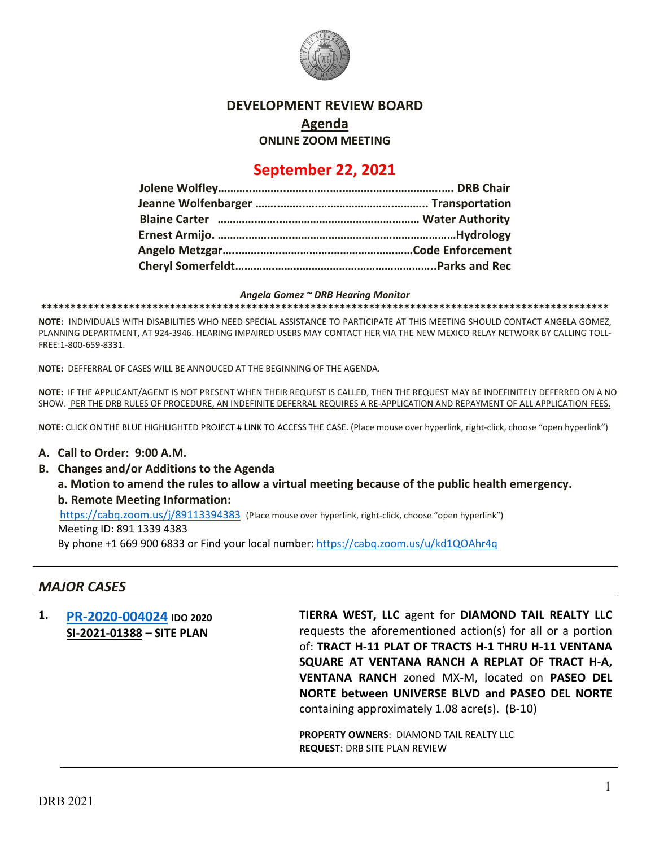

### **DEVELOPMENT REVIEW BOARD**

**Agenda**

**ONLINE ZOOM MEETING**

# **September 22, 2021**

#### *Angela Gomez ~ DRB Hearing Monitor*

**\*\*\*\*\*\*\*\*\*\*\*\*\*\*\*\*\*\*\*\*\*\*\*\*\*\*\*\*\*\*\*\*\*\*\*\*\*\*\*\*\*\*\*\*\*\*\*\*\*\*\*\*\*\*\*\*\*\*\*\*\*\*\*\*\*\*\*\*\*\*\*\*\*\*\*\*\*\*\*\*\*\*\*\*\*\*\*\*\*\*\*\*\*\*\*\*\***

**NOTE:** INDIVIDUALS WITH DISABILITIES WHO NEED SPECIAL ASSISTANCE TO PARTICIPATE AT THIS MEETING SHOULD CONTACT ANGELA GOMEZ, PLANNING DEPARTMENT, AT 924-3946. HEARING IMPAIRED USERS MAY CONTACT HER VIA THE NEW MEXICO RELAY NETWORK BY CALLING TOLL-FREE:1-800-659-8331.

**NOTE:** DEFFERRAL OF CASES WILL BE ANNOUCED AT THE BEGINNING OF THE AGENDA.

**NOTE:** IF THE APPLICANT/AGENT IS NOT PRESENT WHEN THEIR REQUEST IS CALLED, THEN THE REQUEST MAY BE INDEFINITELY DEFERRED ON A NO SHOW. PER THE DRB RULES OF PROCEDURE, AN INDEFINITE DEFERRAL REQUIRES A RE-APPLICATION AND REPAYMENT OF ALL APPLICATION FEES.

**NOTE:** CLICK ON THE BLUE HIGHLIGHTED PROJECT # LINK TO ACCESS THE CASE. (Place mouse over hyperlink, right-click, choose "open hyperlink")

#### **A. Call to Order: 9:00 A.M.**

**B. Changes and/or Additions to the Agenda**

**a. Motion to amend the rules to allow a virtual meeting because of the public health emergency. b. Remote Meeting Information:** 

<https://cabq.zoom.us/j/89113394383>(Place mouse over hyperlink, right-click, choose "open hyperlink") Meeting ID: 891 1339 4383

By phone +1 669 900 6833 or Find your local number:<https://cabq.zoom.us/u/kd1QOAhr4q>

### *MAJOR CASES*

**1. [PR-2020-004024](http://data.cabq.gov/government/planning/DRB/PR-2020-004024/DRB%20Submittals/PR-2020-004024_Sept_22_2021%20(Site%20Plan)/Application/PR-2020-003658%20Minor%20Amendment%20Application.pdf) IDO 2020 SI-2021-01388 – SITE PLAN TIERRA WEST, LLC** agent for **DIAMOND TAIL REALTY LLC** requests the aforementioned action(s) for all or a portion of: **TRACT H-11 PLAT OF TRACTS H-1 THRU H-11 VENTANA SQUARE AT VENTANA RANCH A REPLAT OF TRACT H-A, VENTANA RANCH** zoned MX-M, located on **PASEO DEL NORTE between UNIVERSE BLVD and PASEO DEL NORTE** containing approximately 1.08 acre(s). (B-10)

**PROPERTY OWNERS**: DIAMOND TAIL REALTY LLC **REQUEST**: DRB SITE PLAN REVIEW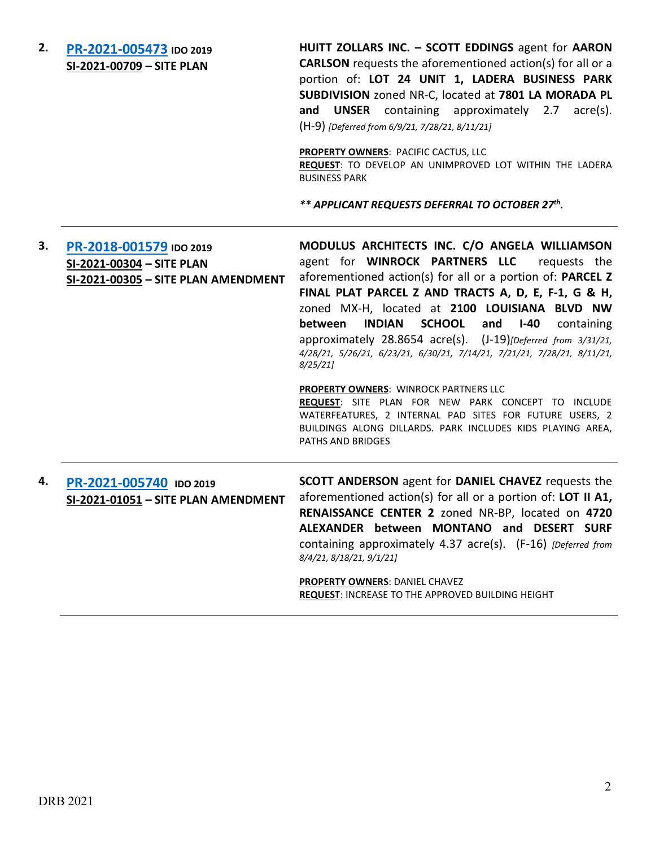**2. [PR-2021-005473](http://data.cabq.gov/government/planning/DRB/PR-2021-005473/DRB%20Submittals/) IDO 2019 SI-2021-00709 – SITE PLAN HUITT ZOLLARS INC. – SCOTT EDDINGS** agent for **AARON CARLSON** requests the aforementioned action(s) for all or a portion of: **LOT 24 UNIT 1, LADERA BUSINESS PARK SUBDIVISION** zoned NR-C, located at **7801 LA MORADA PL and UNSER** containing approximately 2.7 acre(s). (H-9) *[Deferred from 6/9/21, 7/28/21, 8/11/21]* **PROPERTY OWNERS**: PACIFIC CACTUS, LLC **REQUEST**: TO DEVELOP AN UNIMPROVED LOT WITHIN THE LADERA BUSINESS PARK *\*\* APPLICANT REQUESTS DEFERRAL TO OCTOBER 27th.* **3. [PR-2018-001579](http://data.cabq.gov/government/planning/DRB/PR-2018-001579/DRB%20Submittals/PR-2018-001579_Mar_31_2021%20(SITE%20P.,%20SITE%20P.%20AMEND.,%20SKETCH%20PLAT%20%7bPark%7d)/) IDO 2019 SI-2021-00304 – SITE PLAN SI-2021-00305 – SITE PLAN AMENDMENT MODULUS ARCHITECTS INC. C/O ANGELA WILLIAMSON**  agent for **WINROCK PARTNERS LLC** requests the aforementioned action(s) for all or a portion of: **PARCEL Z FINAL PLAT PARCEL Z AND TRACTS A, D, E, F-1, G & H,**  zoned MX-H, located at **2100 LOUISIANA BLVD NW between INDIAN SCHOOL and I-40** containing approximately 28.8654 acre(s). (J-19)*[Deferred from 3/31/21, 4/28/21, 5/26/21, 6/23/21, 6/30/21, 7/14/21, 7/21/21, 7/28/21, 8/11/21, 8/25/21]* **PROPERTY OWNERS**: WINROCK PARTNERS LLC **REQUEST**: SITE PLAN FOR NEW PARK CONCEPT TO INCLUDE WATERFEATURES, 2 INTERNAL PAD SITES FOR FUTURE USERS, 2 BUILDINGS ALONG DILLARDS. PARK INCLUDES KIDS PLAYING AREA, PATHS AND BRIDGES **4. [PR-2021-005740](http://data.cabq.gov/government/planning/DRB/PR-2021-005740/DRB%20Submittals/) IDO 2019 SI-2021-01051 – SITE PLAN AMENDMENT SCOTT ANDERSON** agent for **DANIEL CHAVEZ** requests the aforementioned action(s) for all or a portion of: **LOT II A1, RENAISSANCE CENTER 2** zoned NR-BP, located on **4720 ALEXANDER between MONTANO and DESERT SURF**  containing approximately 4.37 acre(s). (F-16) *[Deferred from 8/4/21, 8/18/21, 9/1/21]* **PROPERTY OWNERS**: DANIEL CHAVEZ **REQUEST**: INCREASE TO THE APPROVED BUILDING HEIGHT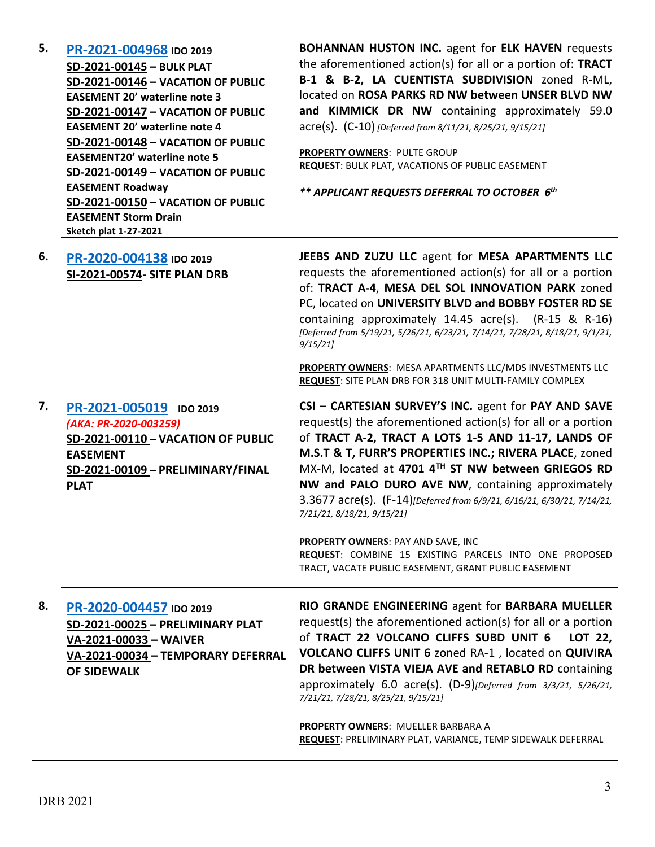| 5. | PR-2021-004968 IDO 2019<br>SD-2021-00145 - BULK PLAT<br>SD-2021-00146 - VACATION OF PUBLIC<br><b>EASEMENT 20' waterline note 3</b><br>SD-2021-00147 - VACATION OF PUBLIC<br><b>EASEMENT 20' waterline note 4</b><br>SD-2021-00148 - VACATION OF PUBLIC<br><b>EASEMENT20' waterline note 5</b><br>SD-2021-00149 - VACATION OF PUBLIC<br><b>EASEMENT Roadway</b><br>SD-2021-00150 - VACATION OF PUBLIC<br><b>EASEMENT Storm Drain</b><br><b>Sketch plat 1-27-2021</b> | <b>BOHANNAN HUSTON INC.</b> agent for ELK HAVEN requests<br>the aforementioned action(s) for all or a portion of: TRACT<br>B-1 & B-2, LA CUENTISTA SUBDIVISION zoned R-ML,<br>located on ROSA PARKS RD NW between UNSER BLVD NW<br>and KIMMICK DR NW containing approximately 59.0<br>acre(s). (C-10) [Deferred from 8/11/21, 8/25/21, 9/15/21]<br>PROPERTY OWNERS: PULTE GROUP<br><b>REQUEST: BULK PLAT, VACATIONS OF PUBLIC EASEMENT</b><br>** APPLICANT REQUESTS DEFERRAL TO OCTOBER 6th                          |
|----|---------------------------------------------------------------------------------------------------------------------------------------------------------------------------------------------------------------------------------------------------------------------------------------------------------------------------------------------------------------------------------------------------------------------------------------------------------------------|----------------------------------------------------------------------------------------------------------------------------------------------------------------------------------------------------------------------------------------------------------------------------------------------------------------------------------------------------------------------------------------------------------------------------------------------------------------------------------------------------------------------|
| 6. | PR-2020-004138 IDO 2019<br>SI-2021-00574- SITE PLAN DRB                                                                                                                                                                                                                                                                                                                                                                                                             | JEEBS AND ZUZU LLC agent for MESA APARTMENTS LLC<br>requests the aforementioned action(s) for all or a portion<br>of: TRACT A-4, MESA DEL SOL INNOVATION PARK zoned<br>PC, located on UNIVERSITY BLVD and BOBBY FOSTER RD SE<br>containing approximately 14.45 acre(s). (R-15 & R-16)<br>[Deferred from 5/19/21, 5/26/21, 6/23/21, 7/14/21, 7/28/21, 8/18/21, 9/1/21,<br>9/15/21                                                                                                                                     |
|    |                                                                                                                                                                                                                                                                                                                                                                                                                                                                     | PROPERTY OWNERS: MESA APARTMENTS LLC/MDS INVESTMENTS LLC<br>REQUEST: SITE PLAN DRB FOR 318 UNIT MULTI-FAMILY COMPLEX                                                                                                                                                                                                                                                                                                                                                                                                 |
| 7. | PR-2021-005019 IDO 2019<br>(AKA: PR-2020-003259)<br>SD-2021-00110 - VACATION OF PUBLIC<br><b>EASEMENT</b><br>SD-2021-00109 - PRELIMINARY/FINAL<br><b>PLAT</b>                                                                                                                                                                                                                                                                                                       | CSI - CARTESIAN SURVEY'S INC. agent for PAY AND SAVE<br>request(s) the aforementioned action(s) for all or a portion<br>of TRACT A-2, TRACT A LOTS 1-5 AND 11-17, LANDS OF<br>M.S.T & T, FURR'S PROPERTIES INC.; RIVERA PLACE, zoned<br>MX-M, located at 4701 4TH ST NW between GRIEGOS RD<br>NW and PALO DURO AVE NW, containing approximately<br>3.3677 acre(s). (F-14)[Deferred from 6/9/21, 6/16/21, 6/30/21, 7/14/21,<br>7/21/21, 8/18/21, 9/15/21]                                                             |
|    |                                                                                                                                                                                                                                                                                                                                                                                                                                                                     | <b>PROPERTY OWNERS: PAY AND SAVE, INC</b><br>REQUEST: COMBINE 15 EXISTING PARCELS INTO ONE PROPOSED<br>TRACT, VACATE PUBLIC EASEMENT, GRANT PUBLIC EASEMENT                                                                                                                                                                                                                                                                                                                                                          |
| 8. | PR-2020-004457 IDO 2019<br>SD-2021-00025 - PRELIMINARY PLAT<br>VA-2021-00033 - WAIVER<br>VA-2021-00034 - TEMPORARY DEFERRAL<br><b>OF SIDEWALK</b>                                                                                                                                                                                                                                                                                                                   | RIO GRANDE ENGINEERING agent for BARBARA MUELLER<br>request(s) the aforementioned action(s) for all or a portion<br>of TRACT 22 VOLCANO CLIFFS SUBD UNIT 6<br>LOT 22,<br>VOLCANO CLIFFS UNIT 6 zoned RA-1, located on QUIVIRA<br>DR between VISTA VIEJA AVE and RETABLO RD containing<br>approximately 6.0 acre(s). $(D-9)$ [Deferred from $3/3/21$ , $5/26/21$ ,<br>7/21/21, 7/28/21, 8/25/21, 9/15/21]<br><b>PROPERTY OWNERS: MUELLER BARBARA A</b><br>REQUEST: PRELIMINARY PLAT, VARIANCE, TEMP SIDEWALK DEFERRAL |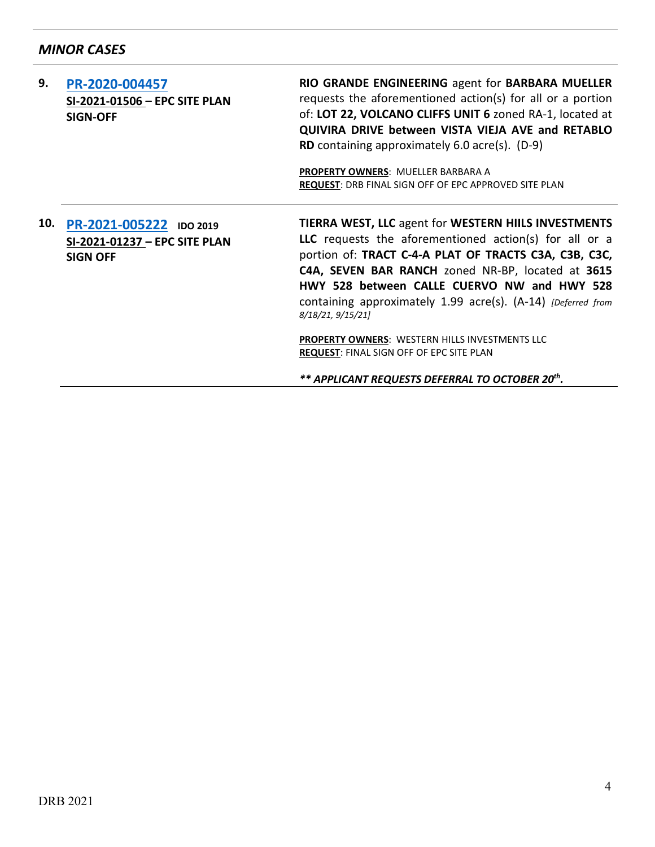# *MINOR CASES*

| 9.  | PR-2020-004457<br>SI-2021-01506 - EPC SITE PLAN<br><b>SIGN-OFF</b>          | RIO GRANDE ENGINEERING agent for BARBARA MUELLER<br>requests the aforementioned action(s) for all or a portion<br>of: LOT 22, VOLCANO CLIFFS UNIT 6 zoned RA-1, located at<br>QUIVIRA DRIVE between VISTA VIEJA AVE and RETABLO<br><b>RD</b> containing approximately 6.0 acre(s). $(D-9)$<br><b>PROPERTY OWNERS: MUELLER BARBARA A</b><br><b>REQUEST: DRB FINAL SIGN OFF OF EPC APPROVED SITE PLAN</b>                                                                               |
|-----|-----------------------------------------------------------------------------|---------------------------------------------------------------------------------------------------------------------------------------------------------------------------------------------------------------------------------------------------------------------------------------------------------------------------------------------------------------------------------------------------------------------------------------------------------------------------------------|
| 10. | PR-2021-005222 IDO 2019<br>SI-2021-01237 - EPC SITE PLAN<br><b>SIGN OFF</b> | <b>TIERRA WEST, LLC agent for WESTERN HIILS INVESTMENTS</b><br><b>LLC</b> requests the aforementioned $action(s)$ for all or a<br>portion of: TRACT C-4-A PLAT OF TRACTS C3A, C3B, C3C,<br>C4A, SEVEN BAR RANCH zoned NR-BP, located at 3615<br>HWY 528 between CALLE CUERVO NW and HWY 528<br>containing approximately 1.99 acre(s). (A-14) [Deferred from<br>8/18/21, 9/15/21]<br>PROPERTY OWNERS: WESTERN HILLS INVESTMENTS LLC<br><b>REQUEST: FINAL SIGN OFF OF EPC SITE PLAN</b> |
|     |                                                                             | ** APPLICANT REQUESTS DEFERRAL TO OCTOBER 20th.                                                                                                                                                                                                                                                                                                                                                                                                                                       |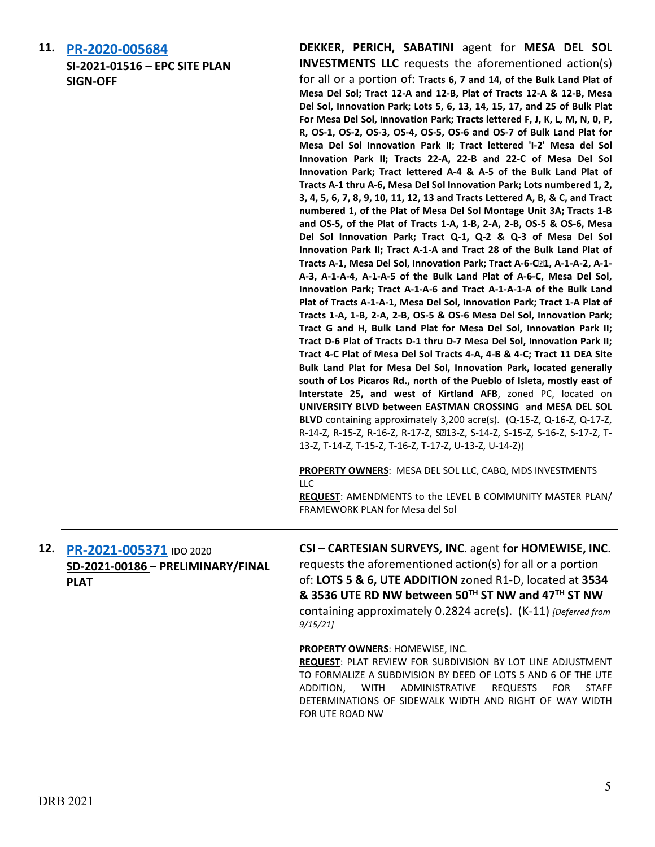| 11. | PR-2020-005684                                                              | DEKKER, PERICH, SABATINI agent for MESA DEL SOL                                                                                                                                                                                                                                                                                                                                                                                                                                                                                                                                                                                                                                                                                                                                                                                                                                                                                                                                                                                                                                                                                                                                                                                                                                                                                                                                                                                                                                                                                                                                                                                                                                                                                                                                                    |
|-----|-----------------------------------------------------------------------------|----------------------------------------------------------------------------------------------------------------------------------------------------------------------------------------------------------------------------------------------------------------------------------------------------------------------------------------------------------------------------------------------------------------------------------------------------------------------------------------------------------------------------------------------------------------------------------------------------------------------------------------------------------------------------------------------------------------------------------------------------------------------------------------------------------------------------------------------------------------------------------------------------------------------------------------------------------------------------------------------------------------------------------------------------------------------------------------------------------------------------------------------------------------------------------------------------------------------------------------------------------------------------------------------------------------------------------------------------------------------------------------------------------------------------------------------------------------------------------------------------------------------------------------------------------------------------------------------------------------------------------------------------------------------------------------------------------------------------------------------------------------------------------------------------|
|     | SI-2021-01516 - EPC SITE PLAN<br><b>SIGN-OFF</b>                            | <b>INVESTMENTS LLC</b> requests the aforementioned action(s)<br>for all or a portion of: Tracts 6, 7 and 14, of the Bulk Land Plat of<br>Mesa Del Sol; Tract 12-A and 12-B, Plat of Tracts 12-A & 12-B, Mesa<br>Del Sol, Innovation Park; Lots 5, 6, 13, 14, 15, 17, and 25 of Bulk Plat<br>For Mesa Del Sol, Innovation Park; Tracts lettered F, J, K, L, M, N, O, P,<br>R, OS-1, OS-2, OS-3, OS-4, OS-5, OS-6 and OS-7 of Bulk Land Plat for<br>Mesa Del Sol Innovation Park II; Tract lettered 'I-2' Mesa del Sol<br>Innovation Park II; Tracts 22-A, 22-B and 22-C of Mesa Del Sol<br>Innovation Park; Tract lettered A-4 & A-5 of the Bulk Land Plat of<br>Tracts A-1 thru A-6, Mesa Del Sol Innovation Park; Lots numbered 1, 2,<br>3, 4, 5, 6, 7, 8, 9, 10, 11, 12, 13 and Tracts Lettered A, B, & C, and Tract<br>numbered 1, of the Plat of Mesa Del Sol Montage Unit 3A; Tracts 1-B<br>and OS-5, of the Plat of Tracts 1-A, 1-B, 2-A, 2-B, OS-5 & OS-6, Mesa<br>Del Sol Innovation Park; Tract Q-1, Q-2 & Q-3 of Mesa Del Sol<br>Innovation Park II; Tract A-1-A and Tract 28 of the Bulk Land Plat of<br>Tracts A-1, Mesa Del Sol, Innovation Park; Tract A-6-C21, A-1-A-2, A-1-<br>A-3, A-1-A-4, A-1-A-5 of the Bulk Land Plat of A-6-C, Mesa Del Sol,<br>Innovation Park; Tract A-1-A-6 and Tract A-1-A-1-A of the Bulk Land<br>Plat of Tracts A-1-A-1, Mesa Del Sol, Innovation Park; Tract 1-A Plat of<br>Tracts 1-A, 1-B, 2-A, 2-B, OS-5 & OS-6 Mesa Del Sol, Innovation Park;<br>Tract G and H, Bulk Land Plat for Mesa Del Sol, Innovation Park II;<br>Tract D-6 Plat of Tracts D-1 thru D-7 Mesa Del Sol, Innovation Park II;<br>Tract 4-C Plat of Mesa Del Sol Tracts 4-A, 4-B & 4-C; Tract 11 DEA Site<br>Bulk Land Plat for Mesa Del Sol, Innovation Park, located generally |
|     |                                                                             | south of Los Picaros Rd., north of the Pueblo of Isleta, mostly east of<br>Interstate 25, and west of Kirtland AFB, zoned PC, located on<br>UNIVERSITY BLVD between EASTMAN CROSSING and MESA DEL SOL<br>BLVD containing approximately 3,200 acre(s). (Q-15-Z, Q-16-Z, Q-17-Z,<br>R-14-Z, R-15-Z, R-16-Z, R-17-Z, S213-Z, S-14-Z, S-15-Z, S-16-Z, S-17-Z, T-<br>13-Z, T-14-Z, T-15-Z, T-16-Z, T-17-Z, U-13-Z, U-14-Z))<br>PROPERTY OWNERS: MESA DEL SOL LLC, CABQ, MDS INVESTMENTS<br>LLC<br>REQUEST: AMENDMENTS to the LEVEL B COMMUNITY MASTER PLAN/                                                                                                                                                                                                                                                                                                                                                                                                                                                                                                                                                                                                                                                                                                                                                                                                                                                                                                                                                                                                                                                                                                                                                                                                                                             |
|     |                                                                             | FRAMEWORK PLAN for Mesa del Sol                                                                                                                                                                                                                                                                                                                                                                                                                                                                                                                                                                                                                                                                                                                                                                                                                                                                                                                                                                                                                                                                                                                                                                                                                                                                                                                                                                                                                                                                                                                                                                                                                                                                                                                                                                    |
| 12. | PR-2021-005371 IDO 2020<br>SD-2021-00186 - PRELIMINARY/FINAL<br><b>PLAT</b> | CSI - CARTESIAN SURVEYS, INC. agent for HOMEWISE, INC.<br>requests the aforementioned action(s) for all or a portion<br>of: LOTS 5 & 6, UTE ADDITION zoned R1-D, located at 3534<br>& 3536 UTE RD NW between 50TH ST NW and 47TH ST NW<br>containing approximately 0.2824 acre(s). (K-11) [Deferred from<br>9/15/21                                                                                                                                                                                                                                                                                                                                                                                                                                                                                                                                                                                                                                                                                                                                                                                                                                                                                                                                                                                                                                                                                                                                                                                                                                                                                                                                                                                                                                                                                |
|     |                                                                             | PROPERTY OWNERS: HOMEWISE, INC.<br><b>REQUEST: PLAT REVIEW FOR SUBDIVISION BY LOT LINE ADJUSTMENT</b><br>TO FORMALIZE A SUBDIVISION BY DEED OF LOTS 5 AND 6 OF THE UTE<br>ADMINISTRATIVE<br><b>REQUESTS</b><br><b>FOR</b><br>ADDITION,<br><b>WITH</b><br><b>STAFF</b><br>DETERMINATIONS OF SIDEWALK WIDTH AND RIGHT OF WAY WIDTH<br>FOR UTE ROAD NW                                                                                                                                                                                                                                                                                                                                                                                                                                                                                                                                                                                                                                                                                                                                                                                                                                                                                                                                                                                                                                                                                                                                                                                                                                                                                                                                                                                                                                                |